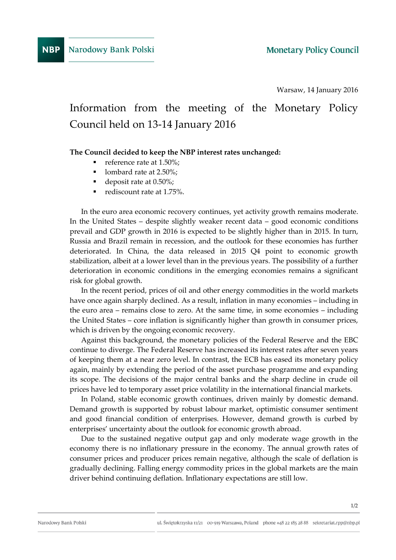Warsaw, 14 January 2016

## Information from the meeting of the Monetary Policy Council held on 13-14 January 2016

## **The Council decided to keep the NBP interest rates unchanged:**

- reference rate at 1.50%;
- lombard rate at 2.50%;
- deposit rate at  $0.50\%$ ;
- rediscount rate at 1.75%.

In the euro area economic recovery continues, yet activity growth remains moderate. In the United States – despite slightly weaker recent data – good economic conditions prevail and GDP growth in 2016 is expected to be slightly higher than in 2015. In turn, Russia and Brazil remain in recession, and the outlook for these economies has further deteriorated. In China, the data released in 2015 Q4 point to economic growth stabilization, albeit at a lower level than in the previous years. The possibility of a further deterioration in economic conditions in the emerging economies remains a significant risk for global growth.

In the recent period, prices of oil and other energy commodities in the world markets have once again sharply declined. As a result, inflation in many economies – including in the euro area – remains close to zero. At the same time, in some economies – including the United States – core inflation is significantly higher than growth in consumer prices, which is driven by the ongoing economic recovery.

Against this background, the monetary policies of the Federal Reserve and the EBC continue to diverge. The Federal Reserve has increased its interest rates after seven years of keeping them at a near zero level. In contrast, the ECB has eased its monetary policy again, mainly by extending the period of the asset purchase programme and expanding its scope. The decisions of the major central banks and the sharp decline in crude oil prices have led to temporary asset price volatility in the international financial markets.

In Poland, stable economic growth continues, driven mainly by domestic demand. Demand growth is supported by robust labour market, optimistic consumer sentiment and good financial condition of enterprises. However, demand growth is curbed by enterprises' uncertainty about the outlook for economic growth abroad.

Due to the sustained negative output gap and only moderate wage growth in the economy there is no inflationary pressure in the economy. The annual growth rates of consumer prices and producer prices remain negative, although the scale of deflation is gradually declining. Falling energy commodity prices in the global markets are the main driver behind continuing deflation. Inflationary expectations are still low.